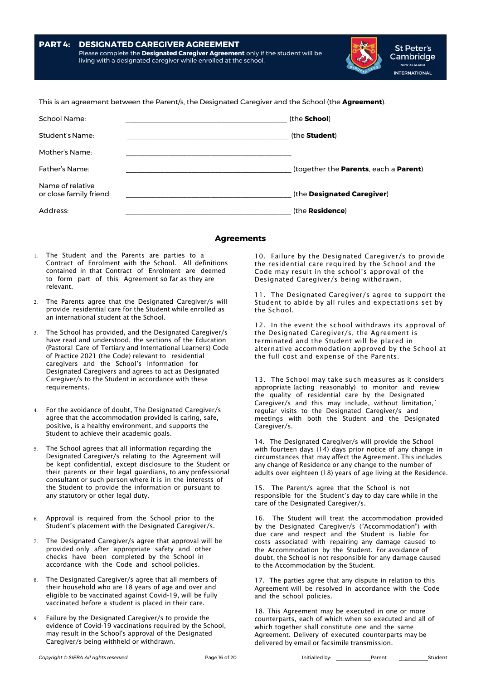## **PART 4: DESIGNATED CAREGIVER AGREEMENT**  Please complete the **Designated Caregiver Agreement** only if the student will be living with a designated caregiver while enrolled at the school.



St Peter's Cambridge NEW ZEALAND **INTERNATIONAL** 

This is an agreement between the Parent/s, the Designated Caregiver and the School (the **Agreement**).

| School Name:                                | (the School)                          |
|---------------------------------------------|---------------------------------------|
| Student's Name:                             | (the <b>Student</b> )                 |
| Mother's Name:                              |                                       |
| Father's Name:                              | (together the Parents, each a Parent) |
| Name of relative<br>or close family friend: | (the Designated Caregiver)            |
| Address:                                    | (the <b>Residence</b> )               |

## **Agreements**

- 1. The Student and the Parents are parties to a Contract of Enrolment with the School. All definitions contained in that Contract of Enrolment are deemed to form part of this Agreement so far as they are relevant.
- 2. The Parents agree that the Designated Caregiver/s will provide residential care for the Student while enrolled as an international student at the School.
- 3. The School has provided, and the Designated Caregiver/s have read and understood, the sections of the Education (Pastoral Care of Tertiary and International Learners) Code of Practice 2021 (the Code) relevant to residential caregivers and the School's Information for Designated Caregivers and agrees to act as Designated Caregiver/s to the Student in accordance with these requirements.
- 4. For the avoidance of doubt, The Designated Caregiver/s agree that the accommodation provided is caring, safe, positive, is a healthy environment, and supports the Student to achieve their academic goals.
- 5. The School agrees that all information regarding the Designated Caregiver/s relating to the Agreement will be kept confidential, except disclosure to the Student or their parents or their legal guardians, to any professional consultant or such person where it is in the interests of the Student to provide the information or pursuant to any statutory or other legal duty.
- 6. Approval is required from the School prior to the Student's placement with the Designated Caregiver/s.
- 7. The Designated Caregiver/s agree that approval will be provided only after appropriate safety and other checks have been completed by the School in accordance with the Code and school policies.
- The Designated Caregiver/s agree that all members of their household who are 18 years of age and over and eligible to be vaccinated against Covid-19, will be fully vaccinated before a student is placed in their care.
- 9. Failure by the Designated Caregiver/s to provide the evidence of Covid-19 vaccinations required by the School, may result in the School's approval of the Designated Caregiver/s being withheld or withdrawn.

10. Failure by the Designated Caregiver/s to provide the residential care required by the School and the Code may result in the school's approval of the Designated Caregiver/s being withdrawn.

11. The Designated Caregiver/s agree to support the Student to abide by all rules and expectations set by the School.

12. In the event the school withdraws its approval of the Designated Caregiver/s, the Agreement is terminated and the Student will be placed in alternative accommodation approved by the School at the full cost and expense of the Parents.

13. The School may take such measures as it considers appropriate (acting reasonably) to monitor and review the quality of residential care by the Designated Caregiver/s and this may include, without limitation,` regular visits to the Designated Caregiver/s and meetings with both the Student and the Designated Caregiver/s.

14. The Designated Caregiver/s will provide the School with fourteen days (14) days prior notice of any change in circumstances that may affect the Agreement. This includes any change of Residence or any change to the number of adults over eighteen (18) years of age living at the Residence.

15. The Parent/s agree that the School is not responsible for the Student's day to day care while in the care of the Designated Caregiver/s.

16. The Student will treat the accommodation provided by the Designated Caregiver/s ("Accommodation") with due care and respect and the Student is liable for costs associated with repairing any damage caused to the Accommodation by the Student. For avoidance of doubt, the School is not responsible for any damage caused to the Accommodation by the Student.

17. The parties agree that any dispute in relation to this Agreement will be resolved in accordance with the Code and the school policies.

18. This Agreement may be executed in one or more counterparts, each of which when so executed and all of which together shall constitute one and the same Agreement. Delivery of executed counterparts may be delivered by email or facsimile transmission.